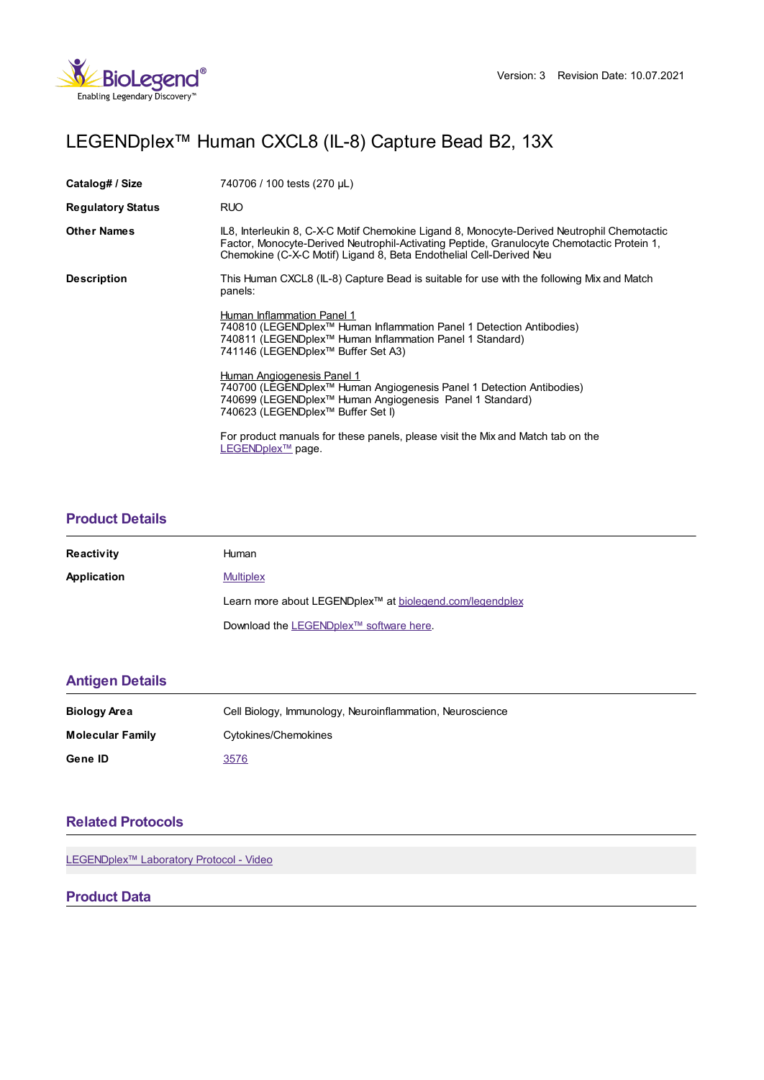

# LEGENDplex™ Human CXCL8 (IL-8) Capture Bead B2, 13X

| Catalog# / Size          | 740706 / 100 tests (270 µL)                                                                                                                                                                                                                                      |
|--------------------------|------------------------------------------------------------------------------------------------------------------------------------------------------------------------------------------------------------------------------------------------------------------|
| <b>Regulatory Status</b> | <b>RUO</b>                                                                                                                                                                                                                                                       |
| <b>Other Names</b>       | IL8, Interleukin 8, C-X-C Motif Chemokine Ligand 8, Monocyte-Derived Neutrophil Chemotactic<br>Factor, Monocyte-Derived Neutrophil-Activating Peptide, Granulocyte Chemotactic Protein 1,<br>Chemokine (C-X-C Motif) Ligand 8, Beta Endothelial Cell-Derived Neu |
| <b>Description</b>       | This Human CXCL8 (IL-8) Capture Bead is suitable for use with the following Mix and Match<br>panels:                                                                                                                                                             |
|                          | Human Inflammation Panel 1<br>740810 (LEGENDplex <sup>™</sup> Human Inflammation Panel 1 Detection Antibodies)<br>740811 (LEGENDplex™ Human Inflammation Panel 1 Standard)<br>741146 (LEGENDplex™ Buffer Set A3)                                                 |
|                          | Human Angiogenesis Panel 1<br>740700 (LEGENDplex™ Human Angiogenesis Panel 1 Detection Antibodies)<br>740699 (LEGENDplex™ Human Angiogenesis Panel 1 Standard)<br>740623 (LEGENDplex™ Buffer Set I)                                                              |
|                          | For product manuals for these panels, please visit the Mix and Match tab on the<br>LEGENDplex <sup>™</sup> page.                                                                                                                                                 |

# **[Product](https://production-dynamicweb.biolegend.com/fr-ch/products/legendplex-human-cxcl8-capture-bead-b2-15520?pdf=true&displayInline=true&leftRightMargin=15&topBottomMargin=15&filename=LEGENDplex%EF%BF%BD%EF%BF%BD%EF%BF%BD Human CXCL8 (IL-8) Capture Bead B2, 13X.pdf#productDetails) Details**

| <b>Reactivity</b> | Human                                                                |
|-------------------|----------------------------------------------------------------------|
| Application       | <b>Multiplex</b>                                                     |
|                   | Learn more about LEGENDplex <sup>™</sup> at biolegend.com/legendplex |
|                   | Download the LEGENDplex™ software here.                              |

# **[Antigen](https://production-dynamicweb.biolegend.com/fr-ch/products/legendplex-human-cxcl8-capture-bead-b2-15520?pdf=true&displayInline=true&leftRightMargin=15&topBottomMargin=15&filename=LEGENDplex%EF%BF%BD%EF%BF%BD%EF%BF%BD Human CXCL8 (IL-8) Capture Bead B2, 13X.pdf#antigenDetails) Details**

| Biology Area            | Cell Biology, Immunology, Neuroinflammation, Neuroscience |
|-------------------------|-----------------------------------------------------------|
| <b>Molecular Family</b> | Cytokines/Chemokines                                      |
| Gene ID                 | 3576                                                      |

# **Related [Protocols](https://production-dynamicweb.biolegend.com/fr-ch/products/legendplex-human-cxcl8-capture-bead-b2-15520?pdf=true&displayInline=true&leftRightMargin=15&topBottomMargin=15&filename=LEGENDplex%EF%BF%BD%EF%BF%BD%EF%BF%BD Human CXCL8 (IL-8) Capture Bead B2, 13X.pdf#productRelatedProtocols)**

LEGENDplex<sup>™</sup> Laboratory Protocol - Video

# **Product Data**